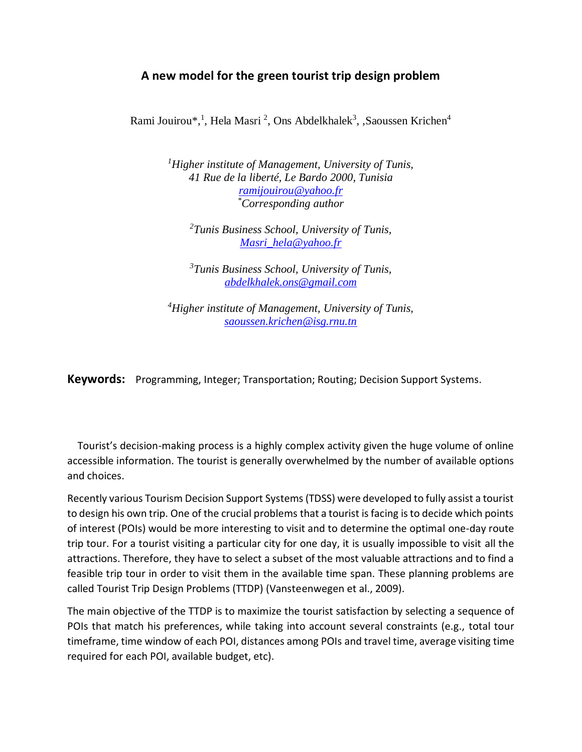## **A new model for the green tourist trip design problem**

Rami Jouirou\*,<sup>1</sup>, Hela Masri<sup>2</sup>, Ons Abdelkhalek<sup>3</sup>, ,Saoussen Krichen<sup>4</sup>

*<sup>1</sup>Higher institute of Management, University of Tunis, 41 Rue de la liberté, Le Bardo 2000, Tunisia [ramijouirou@yahoo.fr](mailto:jedidihela123@gmail.com) \*Corresponding author*

*<sup>2</sup>Tunis Business School, University of Tunis, [Masri\\_hela@yahoo.fr](mailto:Masri_hela@yahoo.fr)*

*<sup>3</sup>Tunis Business School, University of Tunis, [abdelkhalek.ons@gmail.com](mailto:abdelkhalek.ons@gmail.com)*

*<sup>4</sup>Higher institute of Management, University of Tunis, [saoussen.krichen@isg.rnu.tn](mailto:saoussen.krichen@isg.rnu.tn)*

**Keywords:** Programming, Integer; Transportation; Routing; Decision Support Systems.

 Tourist's decision-making process is a highly complex activity given the huge volume of online accessible information. The tourist is generally overwhelmed by the number of available options and choices.

Recently various Tourism Decision Support Systems (TDSS) were developed to fully assist a tourist to design his own trip. One of the crucial problems that a tourist is facing is to decide which points of interest (POIs) would be more interesting to visit and to determine the optimal one-day route trip tour. For a tourist visiting a particular city for one day, it is usually impossible to visit all the attractions. Therefore, they have to select a subset of the most valuable attractions and to find a feasible trip tour in order to visit them in the available time span. These planning problems are called Tourist Trip Design Problems (TTDP) (Vansteenwegen et al., 2009).

The main objective of the TTDP is to maximize the tourist satisfaction by selecting a sequence of POIs that match his preferences, while taking into account several constraints (e.g., total tour timeframe, time window of each POI, distances among POIs and travel time, average visiting time required for each POI, available budget, etc).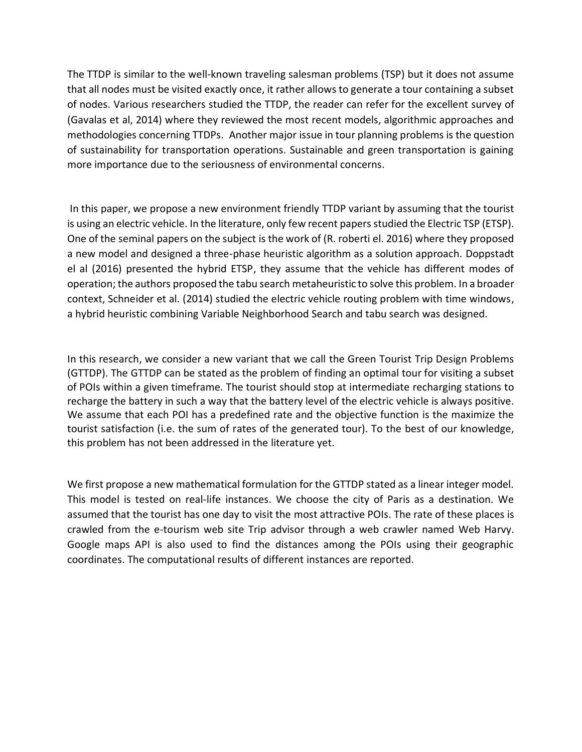The TTDP is similar to the well-known traveling salesman problems (TSP) but it does not assume that all nodes must be visited exactly once, it rather allows to generate a tour containing a subset of nodes. Various researchers studied the TTDP, the reader can refer for the excellent survey of (Gavalas et al, 2014) where they reviewed the most recent models, algorithmic approaches and methodologies concerning TTDPs. Another major issue in tour planning problems is the question of sustainability for transportation operations. Sustainable and green transportation is gaining more importance due to the seriousness of environmental concerns.

In this paper, we propose a new environment friendly TTDP variant by assuming that the tourist is using an electric vehicle. In the literature, only few recent papers studied the Electric TSP (ETSP). One of the seminal papers on the subject is the work of (R. roberti el. 2016) where they proposed a new model and designed a three-phase heuristic algorithm as a solution approach. Doppstadt el al (2016) presented the hybrid ETSP, they assume that the vehicle has different modes of operation; the authors proposed the tabu search metaheuristic to solve this problem. In a broader context, Schneider et al. (2014) studied the electric vehicle routing problem with time windows, a hybrid heuristic combining Variable Neighborhood Search and tabu search was designed.

In this research, we consider a new variant that we call the Green Tourist Trip Design Problems (GTTDP). The GTTDP can be stated as the problem of finding an optimal tour for visiting a subset of POIs within a given timeframe. The tourist should stop at intermediate recharging stations to recharge the battery in such a way that the battery level of the electric vehicle is always positive. We assume that each POI has a predefined rate and the objective function is the maximize the tourist satisfaction (i.e. the sum of rates of the generated tour). To the best of our knowledge, this problem has not been addressed in the literature yet.

We first propose a new mathematical formulation for the GTTDP stated as a linear integer model. This model is tested on real-life instances. We choose the city of Paris as a destination. We assumed that the tourist has one day to visit the most attractive POIs. The rate of these places is crawled from the e-tourism web site Trip advisor through a web crawler named Web Harvy. Google maps API is also used to find the distances among the POIs using their geographic coordinates. The computational results of different instances are reported.